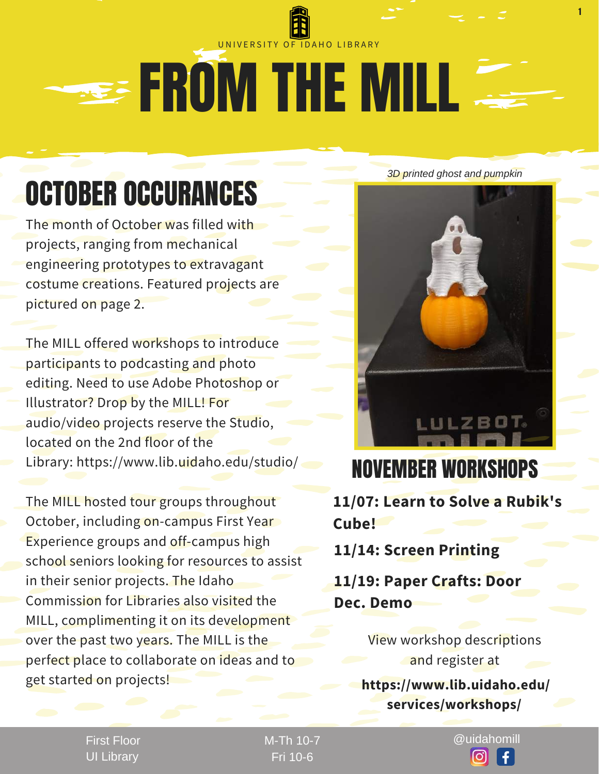

# **SEE FROM THE MILL**

### OCTOBER OCCURANCES

The month of October was filled with projects, ranging from mechanical engineering prototypes to extravagant costume creations. Featured projects are pictured on page 2.

The MILL offered workshops to introduce participants to podcasting and photo editing. Need to use Adobe Photoshop or Illustrator? Drop by the MILL! For audio/video projects reserve the Studio, located on the 2nd floor of the Library: https://www.lib.uidaho.edu/studio/

The MILL hosted tour groups throughout October, including on-campus First Year Experience groups and off-campus high school seniors looking for resources to assist in their senior projects. The Idaho Commission for Libraries also visited the MILL, complimenting it on its development over the past two years. The MILL is the perfect place to collaborate on ideas and to get started on projects!

*3D printed ghost and pumpkin*

1



### NOVEMBER WORKSHOPS

**11/07: Learn to Solve a Rubik's Cube!**

**11/14: Screen Printing**

**11/19: Paper Crafts: Door Dec. Demo**

> View workshop descriptions and register at

**https://www.lib.uidaho.edu/ services/workshops/**

First Floor UI Library

Fri 10-6